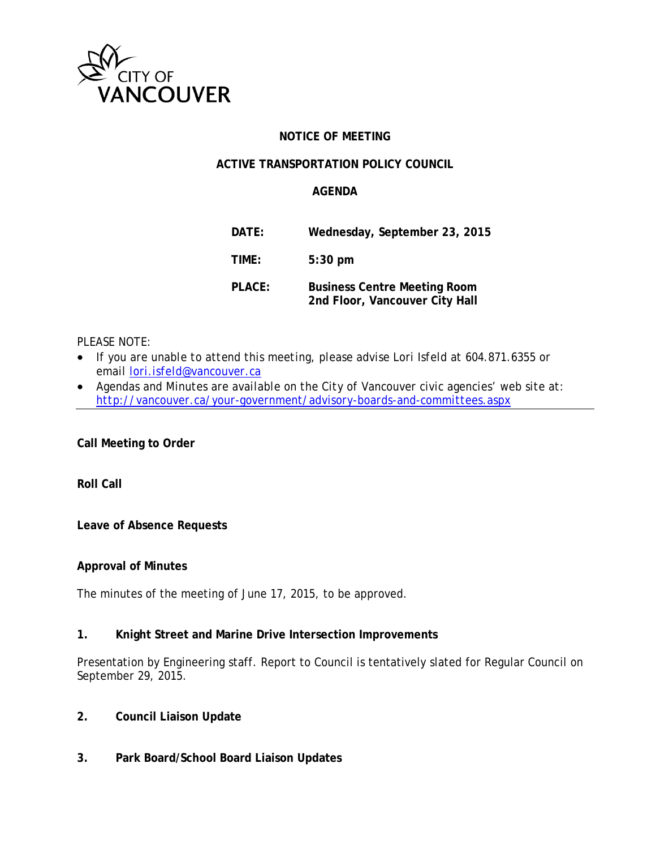

# **NOTICE OF MEETING**

### **ACTIVE TRANSPORTATION POLICY COUNCIL**

#### **AGENDA**

| DATE:  | Wednesday, September 23, 2015                                         |
|--------|-----------------------------------------------------------------------|
| TIME:  | $5:30$ pm                                                             |
| PLACE: | <b>Business Centre Meeting Room</b><br>2nd Floor, Vancouver City Hall |

#### *PLEASE NOTE:*

- *If you are unable to attend this meeting, please advise Lori Isfeld at 604.871.6355 or email [lori.isfeld@vancouver.ca](mailto:lori.isfeld@vancouver.ca)*
- *Agendas and Minutes are available on the City of Vancouver civic agencies' web site at: <http://vancouver.ca/your-government/advisory-boards-and-committees.aspx>*

**Call Meeting to Order**

**Roll Call** 

**Leave of Absence Requests**

**Approval of Minutes**

The minutes of the meeting of June 17, 2015, to be approved.

#### **1. Knight Street and Marine Drive Intersection Improvements**

Presentation by Engineering staff. Report to Council is tentatively slated for Regular Council on September 29, 2015.

- **2. Council Liaison Update**
- **3. Park Board/School Board Liaison Updates**